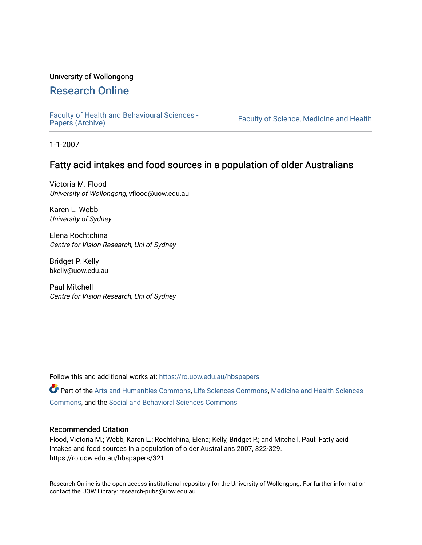### University of Wollongong

# [Research Online](https://ro.uow.edu.au/)

[Faculty of Health and Behavioural Sciences -](https://ro.uow.edu.au/hbspapers)<br>Papers (Archive)

Faculty of Science, Medicine and Health

1-1-2007

## Fatty acid intakes and food sources in a population of older Australians

Victoria M. Flood University of Wollongong, vflood@uow.edu.au

Karen L. Webb University of Sydney

Elena Rochtchina Centre for Vision Research, Uni of Sydney

Bridget P. Kelly bkelly@uow.edu.au

Paul Mitchell Centre for Vision Research, Uni of Sydney

Follow this and additional works at: [https://ro.uow.edu.au/hbspapers](https://ro.uow.edu.au/hbspapers?utm_source=ro.uow.edu.au%2Fhbspapers%2F321&utm_medium=PDF&utm_campaign=PDFCoverPages) 

Part of the [Arts and Humanities Commons,](http://network.bepress.com/hgg/discipline/438?utm_source=ro.uow.edu.au%2Fhbspapers%2F321&utm_medium=PDF&utm_campaign=PDFCoverPages) [Life Sciences Commons,](http://network.bepress.com/hgg/discipline/1016?utm_source=ro.uow.edu.au%2Fhbspapers%2F321&utm_medium=PDF&utm_campaign=PDFCoverPages) [Medicine and Health Sciences](http://network.bepress.com/hgg/discipline/648?utm_source=ro.uow.edu.au%2Fhbspapers%2F321&utm_medium=PDF&utm_campaign=PDFCoverPages) [Commons](http://network.bepress.com/hgg/discipline/648?utm_source=ro.uow.edu.au%2Fhbspapers%2F321&utm_medium=PDF&utm_campaign=PDFCoverPages), and the [Social and Behavioral Sciences Commons](http://network.bepress.com/hgg/discipline/316?utm_source=ro.uow.edu.au%2Fhbspapers%2F321&utm_medium=PDF&utm_campaign=PDFCoverPages)

### Recommended Citation

Flood, Victoria M.; Webb, Karen L.; Rochtchina, Elena; Kelly, Bridget P.; and Mitchell, Paul: Fatty acid intakes and food sources in a population of older Australians 2007, 322-329. https://ro.uow.edu.au/hbspapers/321

Research Online is the open access institutional repository for the University of Wollongong. For further information contact the UOW Library: research-pubs@uow.edu.au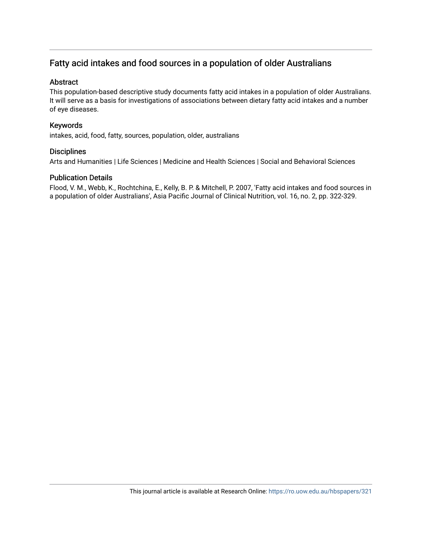# Fatty acid intakes and food sources in a population of older Australians

### **Abstract**

This population-based descriptive study documents fatty acid intakes in a population of older Australians. It will serve as a basis for investigations of associations between dietary fatty acid intakes and a number of eye diseases.

### Keywords

intakes, acid, food, fatty, sources, population, older, australians

### **Disciplines**

Arts and Humanities | Life Sciences | Medicine and Health Sciences | Social and Behavioral Sciences

### Publication Details

Flood, V. M., Webb, K., Rochtchina, E., Kelly, B. P. & Mitchell, P. 2007, 'Fatty acid intakes and food sources in a population of older Australians', Asia Pacific Journal of Clinical Nutrition, vol. 16, no. 2, pp. 322-329.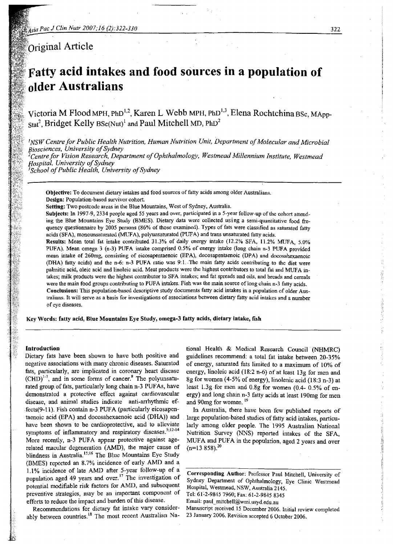$\delta$ original Article

# 'Fatty **acid intakes and food sources in a population of older Australians**

Victoria M Flood MPH, PhD<sup>1,2</sup>, Karen L Webb MPH, PhD<sup>1,3</sup>, Elena Rochtchina BSc, MApp- $_{\rm Stat}$ 2, Bridget Kelly  $_{\rm BSc(Nut)}$  and Paul Mitchell MD, PhD $^2$ 

<sup>1</sup>*NSW Centre for Public Health Nutrition, Human Nutrition Unit, Department ofMolecular and Microbial Biosciences, University ofSydney , lCentrefor Vision Research, Department ofOphthalmology, Westmead Millennium Institute, Westmead Hospital, University ofSydney* <sup>3</sup>*School ofPublic Health, University ofSydney*

Objective: To document dietary intakes and food sources of fatty acids among older Australians. Design: Population-based survivor cohort.

Setting: Two postcode areas in the Blue Mountains, West of Sydney, Australia.

SUbjects: In 1997-9, 2334 people aged 55 years and over, participated in a 5-year follow-up of the cohort attending the Blue Mountains Eye Study (BMES). Dietary data were collected using a semi-quantitative food frequency questionnaire by 2005 persons (86% of those examined). Types of fats were classified as saturated fatty acids (SFA), monounsaturated (MUFA), polyunsaturated (PUFA) and trans unsaturated fatty acids.

Results: Mean total fat intake contributed 31.3% of daily energy intake (12.2% SPA, 11.2% MUFA, 5.0% PUFA). Mean omega 3 (n-3) PUPA intake comprised 0.5% of energy intake (long chain n-3 PUPA provided mean intake of 260mg, consisting of eicosapentaenoic (EPA), docosapentaenoic (DPA) and docosahexaenoic (DRA) fatty acids) and the n-6: n-3 PUFA ratio was 9:1. .The main fatty acids contributing to the diet were palmitic acid, oleic acid and linoleic acid. Meat products were the highest contributors to total fat and MUFA intakes; milk products were the highest contributor to SFA intakes; and fat spreads and oils, and breads and cereals were the main food groups contributing to PUFA intakes. Fish was the main source of long chain n-3 fatty acids. Conclusions: This population-based descriptive study documents fatty acid intakes in a population of older Australians. It will serve as a basis for investigations of associations between dietary fatty acid intakes and a number of eye diseases.

Key Words: fatty acid, BLue Mountains Eye Study, omega-3 fatty acids, dietary intake, fish

#### Introduction

Dietary fats have been shown to have both positive and negative associations with many chronic diseases. Saturated fats, particularly, are implicated in coronary heart disease  $(CHD)^{1-7}$ , and in some forms of cancer.<sup>8</sup> The polyunsaturated group. of fats, particularly long chain n-3 PUFAs, have demonstrated a protective effect against cardiovascular disease, and animal studies indicate anti-arrhythmic effects(9-11). Fish contain n-3 PUFA (particularly eicosapentaenoic acid (EPA) and docosahexaenoic acid (DHA)) and have been shown to be cardioprotective, and to alleviate symptoms of inflammatory and respiratory diseases.<sup>5;12-14</sup> More recently, n-3 PUFA appear protective against agerelated macular degeneration (AMD), the major cause of blindness in Australia.<sup>15;16</sup> The Blue Mountains Eye Study (BMES) reported an 8.7% incidence of early AMD and a 1.1 % incidence of late AMD after 5-year follow-up of a population aged 49 years and over.<sup>17</sup> The investigation of potential modifiable risk factors for AMD, and subsequent preveritive strategies, may be an important component of efforts to reduce the impact and burden of this disease.

Recommendations for dietary fat intake vary considerably between countries.<sup>18</sup> The most recent Australian National Health & Medical Research Council (NHMRC) guidelines recommend: a total fat intake between 20-35% of energy, saturated fats limited to a maximum of 10% of energy, linoleic acid (18:2 n-6) of at least 13g for men and 8g for women (4-5% of energy), linolenic acid (18:3 n-3) at least 1.3g for men and  $0.8g$  for women (0.4- 0.5% of energy) and long chain n-3 fatty acids at least 190mg for men and 90mg for women.<sup>19</sup>

In Australia, there have been few published reports of large population-based studies of fatty acid intakes, particularly among older people. The 1995 Australian National Nutrition Survey (NNS) reported intakes of the SFA, MUFA and PUFA in the population, aged 2 years and over  $(n=13 858)^{20}$ 

Corresponding Author: Professor Paul Mitchell, University of Sydney Department of Ophthalmology, Eye Clinic Westmead Hospital, Westmead, NSW, Australia 2145. Tel: 61~2-9845 7960; Fax: 61-2-9845 8345

Email: paul\_mitchell@wmi.usyd.edu.au

Manuscript received 15 December 2006. Initial review completed 23 January 2006. Revision accepted 6 October 2006.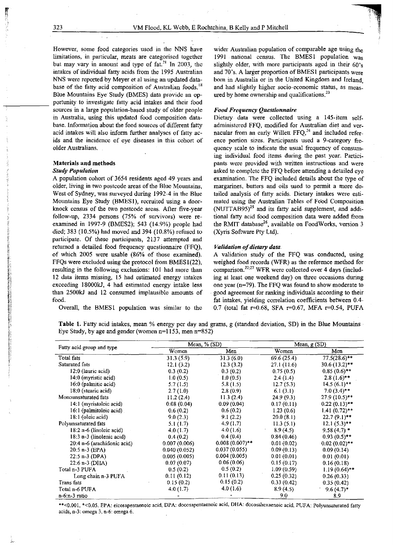However, some food categories used in the NNS have limitations, in particular, meats are categorised together but may vary in amount and type of  $fat^{21}$  In 2003, the intakes of individual fatty acids from the 1995 Australian NNS were reported by Meyer et al using an updated database of the fatty acid composition of Australian foods.<sup>18</sup> Blue Mountains Eye Study (BMES) data provide an opportunity to investigate fatty acid intakes and their food sources in a large population-based study of older people in Australia, using this updated food composition database. Information about the food sources of different fatty acid intakes will also inform further analyses of fatty acids and the incidence of eye diseases in this cohort of older Australians.

#### Materials and methods

#### *Study Population*

A population cohort of 3654 residents aged 49 years and older, living in two postcode areas of the Blue Mountains, West of Sydney, was surveyed during 1992-4 in the Blue Mountains Eye Study (BMES1), recruited using a doorknock census of the two postcode areas. After five-year follow-up, 2334 persons (75% of survivors) were reexamined in 1997-9 (BMES2); 543 (14.9%) people had died; 383 (10.5%) had moved and 394 (10.8%) refused to participate. Of these participants, 2137 attempted and returned a detailed food frequency questionnaire (FFQ), of which 2005 were usable (86% of those examined). FFQs were excluded using the protocol from BMES1(22), resulting in the following exclusions: 101 had more than 12 data items missing, 15 had estimated energy intakes exceeding 18000kJ, 4 had estimated energy intake less than 2S00kJ and 12 consumed implausible amounts of food.

Overall, the BMES1 population was similar to the

wider Australian population of comparable age using the 1991 national census. The BMES1 population was slightly older, with more participants aged in their 60's and 70's. A larger proportion of BMES1 participants were born in Australia or in the United Kingdom and Ireland, and had slightly higher socio-economic status, as measured by home ownership and qualifications. $^{23}$ 

#### *Food Frequency Questionnaire*

Dietary data were collected using a 145-item selfadministered FFQ, modified for Australian diet and vernacular from an early Willett  $FFO<sup>24</sup>$  and included reference portion sizes. Participants used a 9-category frequency scale to indicate the usual frequency of consuming individual food items during the past year. Participants were provided with written instructions and were asked to complete the FFQ before attending a detailed eye examination. The FFQ included details about the type of margarines, butters and oils used to permit a more detailed analysis of fatty acids. Dietary intakes were estimated using the Australian Tables of Food Composition  $(NUTTAB95)^{25}$  and its fatty acid supplement, and additional fatty acid food composition data were added from the RMIT database<sup>26</sup>, available on FoodWorks, version 3 (Xyris Software Pty Ltd).

#### *Validation of dietary data.*

A validation study of the FFQ was conducted, using weighed food records (WFR) as the reference method for comparison. $22,27$  WFR were collected over 4 days (including at least one weekend day) on three occasions during one year (n=79). The FFQ was found to show moderate to . good agreement for ranking individuals according to their fat intakes, yielding correlation coefficients between 0.4-0.7 (total fat  $r=0.68$ , SFA  $r=0.67$ , MFA  $r=0.54$ , PUFA

Table 1. Fatty acid intakes, mean % energy per day and grams, g (standard deviation, SO) in the Blue Mountains Eye Study, by age and gender (women n=1153, men n=852)

| Fatty acid group and type   |              | Mean, % (SD)      | Mean, $g(SD)$ |                 |  |  |
|-----------------------------|--------------|-------------------|---------------|-----------------|--|--|
|                             | Women        | Men               | Women         | Men             |  |  |
| Total fats                  | 31.3(5.9)    | 31.3(6.0)         | 69.6(25.4)    | $77.5(28.6)$ ** |  |  |
| Saturated fats              | 12.1(3.2)    | 12.3(3.2)         | 27.1 (11.6)   | $30.6(13.2)$ ** |  |  |
| 12:0 (lauric acid)          | 0.3(0.2)     | 0.3(0.2)          | 0.75(0.5)     | $0.85(0.6)$ **  |  |  |
| $14:0$ (myristic acid)      | 1.0(0.5)     | 1.0(0.5)          | 2.4(1.4)      | $2.8(1.6)$ **   |  |  |
| 16:0 (palmitic acid)        | 5.7(1.5)     | 5.8(1.5)          | 12.7(5.3)     | $14.5(6.1)$ **  |  |  |
| 18:0 (stearic acid)         | 2.7(1.0)     | 2.8(0.9)          | 6.1(3.1)      | $7.0(3.4)$ **   |  |  |
| Monounsaturated fats        | 11.2(2.4)    | 11.3(2.4)         | 24.9(9.3)     | 27.9 (10.5)**   |  |  |
| 14:1 (myristoleic acid)     | 0.08(0.04)   | 0.09(0.04)        | 0.17(0.11)    | $0.22(0.13)$ ** |  |  |
| 16:1 (palmitoleic acid)     | 0.6(0.2)     | 0.6(0.2)          | 1.23(0.6)     | $1.41(0.72)$ ** |  |  |
| 18:1 (oleic acid)           | 9.0(2.3)     | 9.1(2.2)          | 20.0(8.1)     | $22.7(9.1)$ **  |  |  |
| Polyunsaturated fats        | 5.1(1.7)     | 4.9(1.7)          | 11.3(5.1)     | $12.1(5.3)$ **  |  |  |
| $18:2 n-6$ (linoleic acid)  | 4.0(1.7)     | 4.0(1.6)          | 8.9(4.5)      | $9.58(4.7)$ *   |  |  |
| 18:3 n-3 (linolenic acid)   | 0.4(0.2)     | 0.4(0.4)          | 0.84(0.46)    | $0.93(0.5)$ **  |  |  |
| 20:4 n-6 (arachidonic acid) | 0.007(0.006) | $0.008(0.007)$ ** | 0.01(0.02)    | $0.02(0.02)$ ** |  |  |
| $20:5$ n-3 (EPA)            | 0.040(0.052) | 0.037(0.055)      | 0.09(0.13)    | 0.09(0.14)      |  |  |
| $22:5 n-3 (DPA)$            | 0.005(0.005) | 0.004(0.005)      | 0.01(0.01)    | 0.01(0.01)      |  |  |
| $22:6 n-3$ (DHA)            | 0.07(0.07)   | 0.06(0.06)        | 0.15(0.17)    | 0.16(0.18)      |  |  |
| Total n-3 PUFA              | 0.5(0.2)     | 0.5(0.2)          | 1.09(0.59)    | $1.19(0.64)$ ** |  |  |
| Long chain n-3 PUFA         | 0.11(0.12)   | 0.11(0.13)        | 0.25(0.32)    | 0.26(0.33)      |  |  |
| Trans fats                  | 0.15(0.2)    | 0.15(0.2)         | 0.33(0.42)    | 0.35(0.42)      |  |  |
| Total n-6 PUFA              | 4.0(1.7)     | 4.0(1.6)          | 8.9(4.5)      | $9.6(4.7)$ *    |  |  |
| $n-6:n-3$ ratio             |              |                   | 9.0           | 8.9             |  |  |

\*\*<0.001, \*<0.05. EPA: eicosapentaenoic acid, DPA: docosapentaenoic acid, DHA: docosahexaenoic acid, PUFA: Polyunsaturated fatty acids, n-3: omega 3, n-6: omega 6.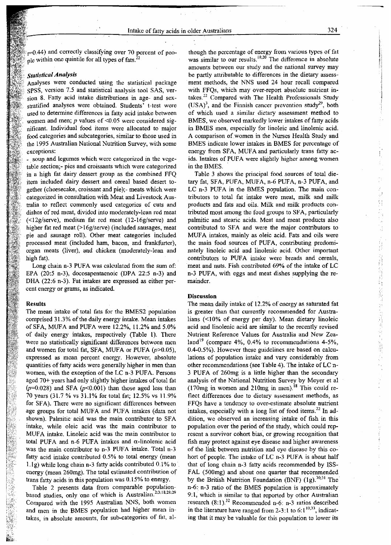*p0.44)* and correctly classifying over 70 percent of people within one quintile for all types of fats. $^{22}$ 

### *Statistical Analysis*

Analyses were conducted using the statistical package SPSS, version 7.5 and statistical analysis tool SAS, version 8. Fatty acid intake distributions in age- and sexstratified analyses were obtained. Students' t-test were used to detennine differences in fatty acid intake between women and men;  $p$  values of  $\leq 0.05$  were considered significant. Individual food items were allocated to major food categories and subcategories, similar to those used in the 1995 Australian National Nutrition Survey, with some exceptions:

soup and legumes which were categorized in the vegetable section;- pies and croissants which were categorized in a high fat dairy dessert group as the combined FFQ item included dairy dessert and cereal based desert together (cheesecake, croissant and pie);- meats which were categorized in consultation with Meat and Livestock Australia to reflect commonly used categories of cuts and dishes of red meat, divided into moderately-lean red meat  $(\leq 12g/\text{server})$ , medium fat red meat  $(12-16g/\text{server})$  and higher fat red meat (>16g/serve) (included sausages, meat pie and sausage roll). Other meat categories included processed meat (included ham, bacon, and frankfurter), organ meats (liver), and chicken (moderately-lean and high fat).

Long chain n-3 PUFA was calculated from the sum of: EPA *(20:5* n-3), docosapentaenoic (DPA 22:5 n-3) and DHA (22:6 n-3). Fat intakes are expressed as either percent energy or grams, as indicated.

#### Results

The mean intake of total fats for the BMES2 population comprised 31.3% of the daily energy intake. Mean intakes of SFA, MUFA and PUFA were 12.2%, 11.2% and 5.0% of daily energy intakes, respectively (Table 1). There were no statistically significant differences between men and women for total fat, SFA, MUFA or PUFA *(p>0.05),* expressed as mean percent energy. However, absolute quantities of fatty acids were generally higher in men than women, with the exception of the LC n-3 PUFA. Persons aged 70+ years had only slightly higher intakes of total fat  $(p=0.028)$  and SFA  $(p<0.001)$  than those aged less than 70 years (31.7 % vs 31.1% for total fat; 12.5% vs 11.9% for SFA). There were no significant differences between age groups for total MUFA and PUFA intakes (data not shown). Palmitic acid was the main contributor to SFA intake, while oleic acid was the main contributor to MUFA intake. Linoleic acid was the main contributor to total PUFA and n-6 PUFA intakes and  $\alpha$ -linolenic acid was the main contributor to  $n-3$  PUFA intake. Total  $n-3$ fatty acid intake contributed 0.5% to total energy (mean  $1.1g$ ) while long chain n-3 fatty acids contributed 0.1% to energy (mean 260mg). The total estimated contribution of trans fatty acids in this population was 0.15% to energy.<br>Table 2 presents data from comparable population-

based studies, only one of which is Australian.<sup>2:3:18;28:29</sup> Compared with the 1995 Australian NNS, both women and men in the BMES population had higher mean intakes, in absolute amounts, for sub-categories of fat, although the percentage of energy from various types of fat was similar to our results.  $18;20$  The difference in absolute amounts between our study and the national survey may be partly attributable to differences in the dietary assessment methods, the NNS used 24 hour recall compared with FFQs, which may over-report absolute nutrient intakes. <sup>22</sup> Compared with The Health Professionals Study  $(USA)^3$ , and the Finnish cancer prevention study<sup>29</sup>, both of which used a similar dietary assessment method to BMES, we observed markedly lower intakes of fatty acids in BMES men, especially for linoleic and linolenic acid. A comparison of women in the Nurses Health Study and BMES indicate lower intakes in BMES for percentage of energy from SFA, MUFA and particularly trans fatty acids. Intakes of PUFA were slightly higher among women in the BMES..

Table 3 shows the principal food sources of total dietary fat, SFA, PUFA, MUFA, n-6 PUFA, n-3 PUFA, and LC n-3 PUFA in the BMES population. The main contributors to total fat intake were meat, milk and milk products and fats and oils. Milk and milk products contributed most among the food groups to SFA, particularly palmitic and stearic acids. Meat and meat products also contributed to SFA and were the major contributors to MUFA intakes, mainly as oleic acid. Fats and oils were the main food sources of PUFA, contributing predominately linoleic acid and linolenic acid. Other important contributors to PUFA intake were breads and cereals, meat and nuts. Fish contributed 69% of the intake of LC n-3 PUFA, with eggs and meat dishes supplying the remainder.

#### Discussion

The mean daily intake of 12.2% of energy as saturated fat is greater than that currently recommended for Australians  $($  <math display="inline">&lt; 10\%</math> of energy per day). Mean dietary linoleic acid and linolenic acid are similar to the recently revised Nutrient Reference Values for Australia and New Zealand<sup>19</sup> (compare 4%, 0.4% to recommendations 4-5%, 0.4-0.5%). However these guidelines are based on calculations of population intake and vary considerably from other recommendations (see Table 4). The intake of LC n-3 PUFA of 260mg is a little higher than the secondary analysis of the National Nutrition Survey by Meyer et al (170mg in women and 210mg in men).<sup>18</sup> This could reflect differences due to dietary assessment methods, as FFQs have a tendency to over-estimate absolute nutrient intakes, especially with a long list of food items.<sup>22</sup> In addition, we observed an increasing intake of fish in this population over the period of the study, which could represent a survivor cohort bias, or growing recognition that fish may protect against eye disease and higher awareness of the link between nutrition and eye disease by this cohort of people. The intake of LC n-3 PUFA is about half that of long chain n-3 fatty acids recommended by IS5- FAL (500mg) and about one quarter that recommended by the British Nutrition Foundation (BNF)  $(1g).^{30;31}$  The n-6: n-3 ratio of the BMES population is approximately 9:1, which is similar to that reported by other Australian research  $(8:1)$ .<sup>32</sup> Recommended n-6: n-3 ratios described in the literature have ranged from 2-3:1 to  $6:1^{10;33}$ , indicating that it may be valuable for this population to lower its

q

Ĝ,

计数据数据 医神经

2010年5月7月1日,新闻大学、新闻中国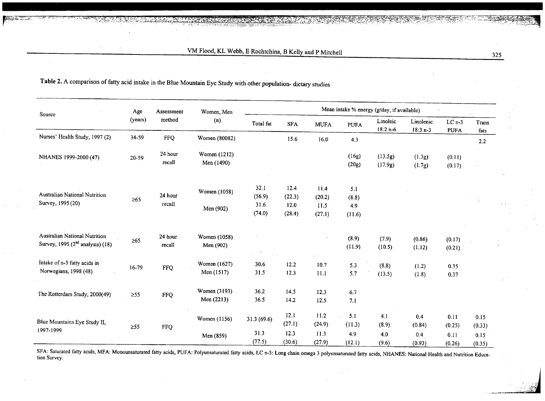| Source                                                                       | Age       | Assessment<br>method | Women, Men<br>(n)          | Mean intake % energy (g/day, if available) |                |                |                 |                        |                         |                        |                |
|------------------------------------------------------------------------------|-----------|----------------------|----------------------------|--------------------------------------------|----------------|----------------|-----------------|------------------------|-------------------------|------------------------|----------------|
|                                                                              | (years)   |                      |                            | Total fat                                  | <b>SFA</b>     | <b>MUFA</b>    | PUFA            | Linoleic<br>$18:2 n-6$ | Linolenic<br>$18:3 n-3$ | $LCn-3$<br><b>PUFA</b> | Trans<br>fats  |
| Nurses' Health Study, 1997 (2)                                               | 34-59     | <b>FFQ</b>           | Women (80082)              |                                            | 15.6           | 16.0           | 4.3             |                        |                         |                        | $2.2^{\circ}$  |
| NHANES 1999-2000 (47)                                                        | 20-59     | 24 hour<br>recall    | Women (1212)<br>Men (1490) |                                            |                |                | (16g)<br>(20g)  | (13.5g)<br>(17.9g)     | (1.3g)<br>(1.7g)        | (0.11)<br>(0.17)       |                |
| Australian National Nutrition<br>$\geq 65$<br>Survey, 1995 (20)              |           | 24 hour<br>recall    | Women (1058)               | 32.1<br>(56.9)                             | 12.4<br>(22.3) | 11.4<br>(20.2) | 5.1<br>(8.8)    |                        |                         |                        |                |
|                                                                              |           |                      | Men (902)                  | 31.6<br>(74.0)                             | 12.0<br>(28.4) | 11.5<br>(27.1) | 4.9<br>(11.6)   |                        |                         |                        |                |
| <b>Australian National Nutrition</b><br>Survey, 1995 $(2nd$ analysis) $(18)$ | $\geq 65$ | 24 hour<br>recall    | Women (1058)<br>Men (902)  |                                            |                |                | (8.9)<br>(11.9) | (7.9)<br>(10.5)        | (0.86)<br>(1.12)        | (0.17)<br>(0.21)       |                |
| Intake of n-3 fatty acids in<br>Norwegians, 1998 (48)                        | 16-79     | <b>FFQ</b>           | Women (1627)<br>Men (1517) | 30.6<br>31.5                               | 12.2<br>12.3   | 10.7<br>11.1   | 5.3<br>5.7      | (8.8)<br>(13.5)        | (1.2)<br>(1.8)          | 0.35<br>0.37           |                |
| The Rotterdam Study, 2000(49)                                                | $\geq$ 55 | <b>FFQ</b>           | Women (3193)<br>Men (2213) | 36.2<br>36.5                               | 14.5<br>14.2   | 12.3<br>12.5   | 6.7<br>7.1      |                        |                         |                        |                |
| Blue Mountains Eye Study II,<br>1997-1999                                    | $\geq 55$ | <b>FFQ</b>           | Women (1156)               | 31.3 (69.6)                                | 12.1<br>(27.1) | 11.2<br>(24.9) | 5.1<br>(11.3)   | 4.1<br>(8.9)           | 0.4<br>(0.84)           | 0.11<br>(0.25)         | 0.15<br>(0.33) |
|                                                                              |           |                      | Men (859)                  | 31.3<br>(77.5)                             | 12.3<br>(30.6) | 11.3<br>(27.9) | 4.9<br>(12.1)   | 4.0<br>(9.6)           | 0.4<br>(0.93)           | 0.11<br>(0.26)         | 0.15<br>(0.35) |

Table 2. A comparison of fatty acid intake in the Blue Mountain Eye Study with other population- dietary studies

SFA: Saturated fatty acids, MFA: Monounsaturated fatty acids, PUFA: Polyunsaturated fatty acids, LC n-3: Long chain omega 3 polyunsaturated fatty acids, NHANES: National Health and Nutrition Education Survey.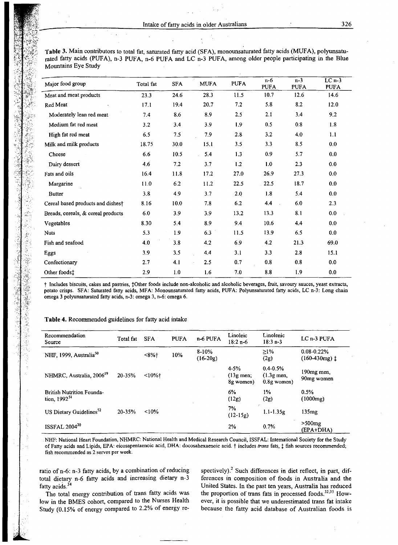**Table** 3. Main contributors to total fat, saturated fatty acid (SFA), monounsaturated fatty acids (MUFA), polyunsaturated fatty acids (PUFA), n-3 PUFA, n-6 PUFA and LC n-3 PUFA, among older people participating in the Blue Mountains Eye Study

| Major food group                   | Total fat | <b>SFA</b> | <b>MUFA</b> | <b>PUFA</b> | $n-6$<br><b>PUFA</b> | $n-3$<br><b>PUFA</b> | $LCn-3$<br><b>PUFA</b> |
|------------------------------------|-----------|------------|-------------|-------------|----------------------|----------------------|------------------------|
| Meat and meat products             | 23.3      | 24.6       | 28.3        | 11.5        | 10.7                 | 12.6                 | 14.6                   |
| Red Meat                           | 17.1      | 19.4       | 20.7        | 7.2         | 5.8                  | 8.2                  | 12.0                   |
| Moderately lean red meat           | 7.4       | 8.6        | 8.9         | 2.5         | 2.1                  | 3.4                  | 9.2                    |
| Medium fat red meat                | 3.2       | 3.4        | 3.9         | 1.9         | 0.5                  | 0.8                  | 1.8                    |
| High fat red meat                  | 6.5       | 7.5        | 7.9         | 2.8         | 3.2                  | 4.0                  | 1.1                    |
| Milk and milk products             | 18.75     | 30.0       | 15.1        | 3.5         | 3.3                  | 8.5                  | 0.0                    |
| Cheese                             | 6.6       | 10.5       | 5.4         | 1.3         | 0.9                  | 5.7                  | 0.0                    |
| Dairy dessert                      | 4.6       | 7.2        | 3.7         | 1.2         | 1.0                  | 2.3                  | $0.0\,$                |
| Fats and oils                      | 16.4      | 11.8       | 17.2        | 27.0        | 26.9                 | 27.3                 | 0.0                    |
| Margarine                          | 11.0      | 6.2        | 11.2        | 22.5        | 22.5                 | 18.7                 | 0.0                    |
| <b>Butter</b>                      | 3.8       | 4.9        | 3.7         | 2.0         | $1.8\,$              | 5.4                  | 0.0                    |
| Cereal based products and dishes†  | 8.16      | 10.0       | 7.8         | 6.2         | 4.4                  | 6.0                  | 2.3                    |
| Breads, cereals, & cereal products | 6.0       | 3.9        | 3.9         | 13.2        | 13.3                 | 8.1                  | 0.0                    |
| Vegetables                         | 8.30      | 5.4        | 8.9         | 9.4         | 10.6                 | 4.4                  | 0.0                    |
| <b>Nuts</b>                        | 5.3       | 1.9        | 6.3         | 11.5        | 13.9                 | 6.5                  | 0.0                    |
| Fish and seafood                   | 4.0       | 3.8        | 4.2         | 6.9         | 4.2                  | 21.3                 | 69.0                   |
| Eggs                               | 3.9       | 3.5        | 4.4         | 3.1         | 3.3                  | 2.8                  | 15.1                   |
| Confectionary                      | 2.7       | 4.1        | 2.5         | 0.7         | 0.8                  | 0.8                  | 0.0                    |
| Other foods‡                       | 2.9       | 1.0        | 1.6         | 7.0         | $\bf 8.8$            | 1.9                  | $0.0\,$                |

t Includes biscuits, cakes and pastries, tOther foods include non-alcoholic and alcoholic beverages, fruit, savoury sauces, yeast extracts, potato crisps. SFA: Saturated fatty acids, MFA: Monounsaturated fatty acids, PUFA: Polyunsaturated fatty acids, LC n-3: Long chain omega 3 polyunsaturated fatty acids, n-3: omega 3, n-6: omega 6.

#### **Table 4.** Recommended guidelines for fatty acid intake

| Recommendation<br>Source                              | Total fat | <b>SFA</b> | <b>PUFA</b> | n-6 PUFA              | Linoleic<br>$18:2 n-6$                       | Linolenic<br>$18:3n-3$                          | LC n-3 PUFA                                |
|-------------------------------------------------------|-----------|------------|-------------|-----------------------|----------------------------------------------|-------------------------------------------------|--------------------------------------------|
| NHF, 1999, Australia <sup>50</sup>                    |           | $<8%$ †    | 10%         | $8-10%$<br>$(16-20g)$ |                                              | $\geq$ 1%<br>(2g)                               | $0.08 - 0.22%$<br>$(160-430mg)$ $\ddagger$ |
| NHMRC, Australia, 2006 <sup>19</sup>                  | 20-35%    | $10\%$ t   |             |                       | $4 - 5%$<br>$(13g \text{ men})$<br>8g women) | $0.4 - 0.5%$<br>$(1.3)$ g men,<br>$0.8g$ women) | 190mg men,<br>90mg women                   |
| <b>British Nutrition Founda-</b><br>tion, $1992^{51}$ |           |            |             |                       | 6%<br>(12g)                                  | 1%<br>(2g)                                      | 0.5%<br>(1000mg)                           |
| US Dietary Guidelines <sup>52</sup>                   | 20-35%    | < 10%      |             |                       | 7%<br>$(12-15g)$                             | $1.1 - 1.35g$                                   | 135 <sub>mg</sub>                          |
| ISSFAL 2004 <sup>30</sup>                             |           |            |             |                       | 2%                                           | 0.7%                                            | $>500$ mg<br>(EPA+DHA)                     |

NHF: National Heart Foundation, NHMRC: National Health and Medical Research Council, ISSFAL: Intemational Society for the Study of Fatty acids and Lipids, EPA: eicosapentaenoic acid, DHA: docosahexaenoic acid. t includes *trans* fats, t fish sources recommended; fish recommended as 2 serves per week.

ratio of n-6: n-3 fatty acids, by a combination of reducing total dietary n-6 fatty acids and increasing dietary n-3 fatty acids.<sup>34</sup>

The total energy contribution of trans fatty acids was low in the BMES cohort, compared to the Nurses Health Study (0.15% of energy compared to 2.2% of energy respectively). $2$  Such differences in diet reflect, in part, differences in composition of foods in Australia and the United States. In the past ten years, Australia has reduced the proportion of trans fats in processed foods.<sup>32;35</sup> However, it is possible that we underestimated trans fat intake because the fatty acid database of Australian foods is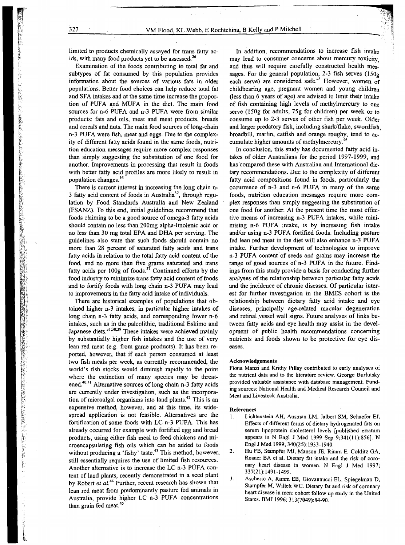limited to products chemically assayed for trans fatty acids, with many food products yet to be assessed.<sup>26</sup>

Examination of the foods contributing to total fat and subtypes of fat consumed by this population provides information about the sources of various fats in older populations. Better food choices can help reduce total fat and SFA intakes and at the same time increase the proportion of PDFA and MUFA in the diet. The main food sources for n-6 PUFA and n-3 PUFA were from similar products: fats and oils, meat and meat products, breads and cereals and nuts. The main food sources of long-chain n-3 PDFA were fish, meat and eggs. Due to the complexity of different fatty acids found in the same foods, nutrition education messages require more complex responses than simply suggesting the substitution of one food for another. Improvements in processing that result in foods with better fatty acid profiles are more likely to result in population changes.<sup>36</sup>

There is current interest in increasing the long chain n-3 fatty acid content of foods in Australia<sup>32</sup>, through regulation by Food Standards Australia and New Zealand (FSANZ). To this end, initial guidelines recommend that foods claiming to be a good source of omega-3 fatty acids should contain no less than 200mg alpha-linolenic acid or no less than 30 mg total EPA and DHA per serving. The guidelines also state that such foods should contain no more than 28 percent of saturated fatty acids and trans fatty acids in relation to the total fatty acid content of the food, and no more than five grams saturated and trans fatty acids per  $100g$  of foods.<sup>37</sup> Continued efforts by the food industry to minimize trans fatty acid content of foods and to fortify foods with long chain n-3 PUFA may lead to improvements in the fatty acid intake of individuals.

There are historical examples of populations that obtained higher n-3 intakes, in particular higher intakes of long chain n-3 fatty acids, and corresponding lower n-6 intakes, such as in the paleolithic, traditional Eskimo and Japanese diets.<sup>31;38;39</sup> These intakes were achieved mainly by substantially higher fish intakes and the use of very lean red meat (e.g. from game products). It has been reported, however, that if each person consumed at least two fish meals per week, as currently recommended, the world's fish stocks would diminish rapidly to the point where the extinction of many species may be threatened.<sup>40;41</sup> Alternative sources of long chain n-3 fatty acids are currently under investigation, such as the incorporation of microalgal organisms into land plants.<sup>42</sup> This is an expensive method, however, and at this time, its widespread application is not feasible. Alternatives are the fortification of some foods with LC n-3 PUFA. This has already occurred for example with fortified egg and bread products, using either fish meal to feed chickens and microencapsulating fish oils which can be added to foods without producing a 'fishy' taste.<sup>43</sup> This method, however, still essentially requires the use of limited fish resources. Another alternative is to increase the LC n-3 PUFA content of land plants, recently demonstrated in a seed plant by Robert et al.<sup>44</sup> Further, recent research has shown that lean red meat from predominantly pasture fed animals in Australia, provide higher LC n-3 PUFA concentrations than grain fed meat.<sup>45</sup>

In addition, recommendations to increase fish intake may lead to consumer concerns about mercury toxicity, and thus will require carefully constructed health messages. For the general population, 2-3 fish serves  $(150g)$ each serve) are considered safe.<sup>46</sup> However, women of childbearing age, pregnant women and young children (less than 6 years of age) are advised to limit their intake of fish containing high levels of methylmercury to one serve (ISOg for adults, 7Sg for children) per week or to consume up to 2-3 serves of other fish per week. Older and larger predatory fish, including shark/flake, swordfish, broadbill, marlin, catfish and orange roughy, tend to accumulate higher amounts of methylmercury.

 $\mathbb{Z}^n$  $\sim$  by  $\sim$  ...

i

In conclusion, this study has documented fatty acid intakes of older Australians for the period 1997-1999, and has compared these with Australian and International dietary recommendations. Due to the complexity of different fatty acid compositions found in foods, particularly the occurrence of n-3 and n-6 PDFA in many of the same foods, nutrition education messages require more complex responses than simply suggesting the substitution of one food for another. At the present time the most effective means of increasing n-3 PDFA intakes, while minimising n-6 PDFA intake, is by increasing fish intake and/or using n-3 PDFA fortified foods. Including pasture fed lean red meat in the diet will also enhance n-3 PDFA intake. Further development of technologies to improve n-3 PDFA content' of seeds and grains may increase the range of good sources of n-3 PDFA in the future. Findings from this study provide a basis for conducting further analyses of the relationship between particular fatty acids and the incidence of chronic diseases. Of particular interest for further investigation in the BMES cohort is the relationship between dietary farty acid intake and eye diseases, principally age-related macular degeneration and retinal vessel wall signs. Future analyses of links between fatty acids and eye health may assist in the development of public health recommendations concerning nutrients and foods shown to be protective for eye diseases.

#### Acknowledgements

Fiona Manzi and Krithy Pillay contributed to early analyses of the nutrient data and to the literature review. George Burlutsky provided valuable assistance with database management. Funding sources: National Health and Medical Research Council and Meat and Livestock Australia.

#### References

- l. Lichtenstein AH, Ausman LM, Jalbert SM, Schaefer EJ. Effects of different forms of dietary hydrogenated fats on serum lipoprotein cholesterol levels [published erratum appears in N Engl J Med 1999 Sep 9;341(11):856]. N Engl J Med 1999; 340(25): 1933-1940.
- 2. Hu FB, Stampfer MJ, Manson JE, Rimm E, Colditz GA, Rosner BA et al. Dietary fat intake and the risk of coronary heart disease in women. N Engl J Med 1997; 337(21): 1491-1499.
- 3. Ascherio A, Rimm EB; Giovannucci EL, Spiegelman D, Stampfer M, Willett WC. Dietary fat and risk of coronary heart disease in men: cohort follow up study in the United States. BMJ 1996; 313(7049):84-90.

いたいたい、「このこの中で、「このことは、「このことは、「このことは、「このことは、「このことは、「このことは、「このことは、「このことは、「このことは、「このことは、「このことは、「このことは、「このことは、「このことは、<br>「このことは、「このこのことは、「このことは、「このことは、「このことは、「このことは、「このことは、「このことは、「このことは、「このことは、「このことは、「このことは、「このことは、「このことは、「」」」」」」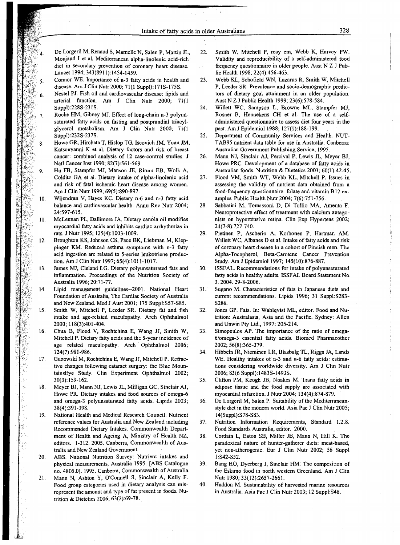- De Lorgeril M, Renaud S, Mamelle N, Salen P, Martin JL, Monjaud I et al. Mediterranean alpha-linolenic acid-rich diet in secondary prevention of coronary heart disease. Lancet 1994; 343(8911): 1454-1459.
- Connor WE. Importance of n-3 fatty acids in health and -5. disease. Am J ClinNutr 2000; 71(1 Suppl):17IS-175S.
- Nestel PJ. Fish oil and cardiovascular disease: lipids and 6. arterial function. Am J Clin Nutr 2000; 71(1 Suppl):228S-231S.
- Roche HM, Gibney MJ. Effect of long-chain n-3 polyun- $\overline{7}$ saturated fatty acids on fasting and postprandial triacylglycerol metabolism. Am J Clin Nutr 2000; 71(l Suppl):232S-237S.

 $\mathcal{A}^{\mathcal{A}}$ 

- Howe GR, Hirohata T, Hislop TG, Iscovich 1M, Yuan JM, 8 Katsouyanni K et al. Dietary factors and risk of breast cancer: combined analysis of 12 case-control studies. I Natl Cancer Inst 1990; 82(7):561-569.
- Hu FB, Stampfer MJ, Manson IE, Rimm EB, Wolk A,  $\mathbf Q$ Colditz GA et al. Dietary intake of alpha-linolenic acid and risk of fatal ischemic heart disease among women. Am J Clin Nutr 1999; 69(5):890-897.
- Wijendran V, Hayes KC Dietary n-6 and n-3 fatty acid  $10.$ balance and cardiovascular health. Annu Rev Nutr 2004; 24:597-615.
- $11.$ McLennan PL, Dallimore *IA.* Dietary canola oil modifies myocardial fatty acids and inhibits cardiac arrhythmias in rats. J Nutr 1995; 125(4): 1003-1009.
- Broughton KS, Iohnson CS, Pace BK, Liebman M, Klep- $12.$ pinger KM. Reduced asthma symptoms with n-3 fatty acid ingestion are related to 5-series leukotriene production. Am J Clin Nutr 1997; 65(4):1011-1017.
- James MJ, Cleland LG. Dietary polyunsaturated fats and 13. inflammation. Proceedings of the Nutrition Society of Australia 1996; 20:71-77.
- Lipid management guidelines--2001. National Heart 14. Foundation of Australia, The Cardiac Society of Australia and New Zealand. Med J Aust 2001; 175 Suppl:S57-S85.
- Smith W, Mitchell P, Leeder SR. Dietary fat and fish 15. intake and age-related maculopathy. Arch Ophthalmol 2000; 118(3):401-404.
- 16. Chua B, Flood V, Rochtchina E, Wang 11, Smith W, Mitchell P. Dietary fatty acids and the 5-year incidence of age related maculopathy. Arch Ophthalmol 2006; 124(7):981-986.
- Guzowski M, Rochtchina E, Wang II, Mitchell P. Refrac-17. tive changes following cataract surgery: the Blue MountainsEye Study. Clin Experiment Ophthalmol 2002; 30(3): 159-162.
- Meyer BJ, Mann NI, Lewis JL, Milligan GC, Sinclair AI, 18. Howe PR. Dietary intakes and food sources of omega-6 and omega~3 polyunsaturated fatty acids. Lipids 2003; 38(4):391-398.
- $19<sub>1</sub>$ National Health and Medical Research Council. Nutrient reference values for Australia and New Zealand including Recommended Dietary Intakes. Commonwealth Department of Health and Ageing A, Ministry of Health NZ, editors. 1-312. 2005. Canberra, Commonwealth of Australia and New Zealand Government.
- ABS. National Nutrition Survey: Nutrient intakes and 20. physical measurements, Australia 1995. [ABS Catalogue no. 4805.0]. 1995. Canberra, Commonwealth of Australia.
- Mann N, Ashton Y, O'Connell S, Sinclair A, Kelly F. 21. Food group categories used in dietary analysis can misrepresent the amount and type of fat present in foods. Nutrition & Dietetics 2006; 63(2):69-78..
- 22. Smith W, Mitchell P, reay em, Webb K, Harvey PW. Validity and reproducibility of a self-administered food frequency questionnaire in older people. Aust N Z J Public Health 1998; 22(4):456-463.
- 23. Webb KL, Schofield WN, Lazarus R, Smith W, Mitchell P, Leeder SR. Prevalence and socio-demographic predictors of dietary goal attainment in an older population. Aust N Z J Public Health 1999; 23(6):578-584.
- 24. Willett WC, Sampson L, Browne ML, Stampfer MI, Rosner B, Hennekens CH et al. The use of a selfadministered questionnaire to assess diet four years in the past. Am J Epidemiol 1988; 127(1):188-199.
- 25. Department of Community Services and Health. NUT-TAB95 nutrient data table for use in Australia. Canberra: Australian Government Publishing Service, 1995.
- 26. Mann NJ, Sinclair *AI,* Percival P, Lewis JL, Meyer *BI,* Howe PRC. Development of a database of fatty acids in Australian foods. Nutrition & Dietetics 2003; 60(1):42-45.
- 27. Flood VM, Smith WT, Webb KL, Mitchell P. Issues in assessing the validity of nutrient data obtained from a food-frequency questionnaire: folate and vitamin B12 examples. Public Health Nutr 2004; 7(6):751-756.
- 28. Sabbatini M, Tomassoni D, Di Tullio MA, Amenta F. Neuroprotective effect of treatment with calcium antagonists on hypertensive retina. Clin Exp Hypertens 2002; 24(7-8):727-740.
- 29. Pietinen P, Ascherio A, Korhonen P, Hartman AM, Willett WC, Albanes D et al. Intake of fatty acids and risk of coronary heart disease in a cohort of Finnish men. The Alpha-Tocopherol, Beta-Carotene Cancer Prevention Study. Am J Epidemiol 1997; 145(10):876-887.
- 30. ISSFAL. Recommendations for intake of polyunsaturated fatty acids in healthy adults. ISSFAL Board Statement No. 3. 2004. 29-8-2006.
- 31. Sugano M. Characteristics of fats in Iapanese diets and current recommendations. Lipids 1996; 31 Suppl:S283- S286.
- 32. Jones GP. Fats. In: Wahlqvist ML, editor. Food and Nutrition: Australasia, Asia and the Pacific. Sydney: Allen and Unwin Pty Ltd., 1997: 205-214.
- 33. Simopoulos AP. The importance of the ratio of omega-6/omega-3 essential fatty acids. Biomed Pharmacother 2002; 56(8):365-379.
- 34. Hibbeln JR, Nieminen LR, Blasbalg TL, Riggs JA, Lands WE. Healthy intakes of n-3 and n-6 fatty acids: estimations considering worldwide diversity. Am I Clin Nutr 2006; 83(6 Suppl):1483S-1493S.
- 35. Clifton PM, Keogh JB, Noakes M. Trans fatty acids in adipose tissue and the food supply are associated with myocardial infarction. J Nutr 2004; 134(4):874-879.
- 36. De Lorgeril M, Salen P. Suitability of the Mediterraneanstyle diet in the modem world. Asia Pac I Clin Nutr 2005; 14(Suppl):S78-S83.
- 37. Nutrition Information Requirements, Standard 1.2.8. Food Standards Australia, editor. 2000.
- 38. Cordain L, Eaton SB, Miller JB, Mann N, Hill K. The paradoxical nature of hunter-gatherer diets: meat-based, yet non-atherogenic. Eur I Clin Nutr 2002; 56 Suppl I:S42-S52.
- 39. Bang HO, Dyerberg J, Sinclair HM: The composition of the Eskimo food in north western Greenland. Am I Clin Nutr 1980; 33(12):2657-2661.
- 40. Haddon M. Sustainability of harvested marine resources in Australia. Asia Pac J Clin Nutr 2003; 12 Suppl:S48.